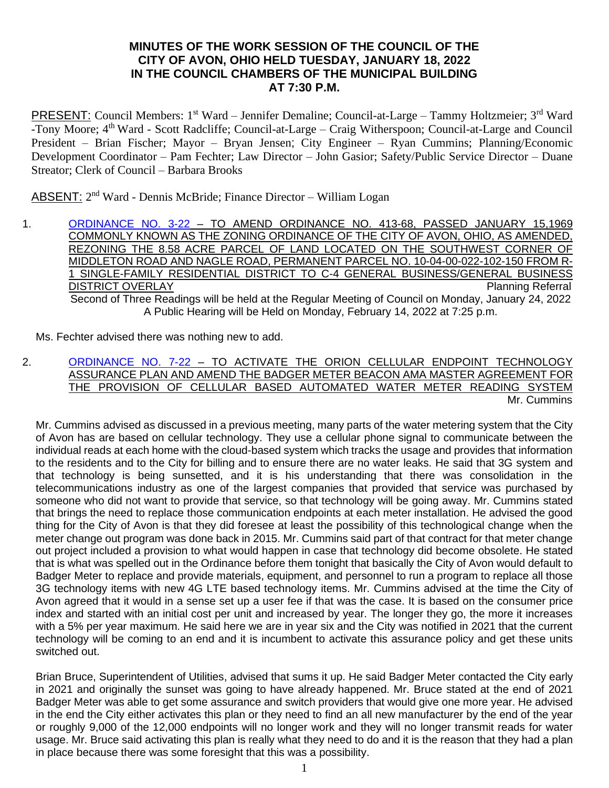## **MINUTES OF THE WORK SESSION OF THE COUNCIL OF THE CITY OF AVON, OHIO HELD TUESDAY, JANUARY 18, 2022 IN THE COUNCIL CHAMBERS OF THE MUNICIPAL BUILDING AT 7:30 P.M.**

PRESENT: Council Members: 1<sup>st</sup> Ward – Jennifer Demaline; Council-at-Large – Tammy Holtzmeier; 3<sup>rd</sup> Ward -Tony Moore; 4<sup>th</sup> Ward - Scott Radcliffe; Council-at-Large – Craig Witherspoon; Council-at-Large and Council President – Brian Fischer; Mayor – Bryan Jensen; City Engineer – Ryan Cummins; Planning/Economic Development Coordinator – Pam Fechter; Law Director – John Gasior; Safety/Public Service Director – Duane Streator; Clerk of Council – Barbara Brooks

ABSENT: 2<sup>nd</sup> Ward - Dennis McBride; Finance Director - William Logan

1. [ORDINANCE NO. 3-22](https://www.cityofavon.com/DocumentCenter/View/7510/Ordinance-No-3-22-jag-Rezoning---LIG-Land-LLC) – TO AMEND ORDINANCE NO. 413-68, PASSED JANUARY 15,1969 COMMONLY KNOWN AS THE ZONING ORDINANCE OF THE CITY OF AVON, OHIO, AS AMENDED, REZONING THE 8.58 ACRE PARCEL OF LAND LOCATED ON THE SOUTHWEST CORNER OF MIDDLETON ROAD AND NAGLE ROAD, PERMANENT PARCEL NO. 10-04-00-022-102-150 FROM R-1 SINGLE-FAMILY RESIDENTIAL DISTRICT TO C-4 GENERAL BUSINESS/GENERAL BUSINESS **DISTRICT OVERLAY Planning Referral** Second of Three Readings will be held at the Regular Meeting of Council on Monday, January 24, 2022 A Public Hearing will be Held on Monday, February 14, 2022 at 7:25 p.m.

Ms. Fechter advised there was nothing new to add.

2. [ORDINANCE NO. 7-22](https://www.cityofavon.com/DocumentCenter/View/7558/Ordinance-No-7-22-Water-Meter-Contract-Amendment--1-14-22) – TO ACTIVATE THE ORION CELLULAR ENDPOINT TECHNOLOGY ASSURANCE PLAN AND AMEND THE BADGER METER BEACON AMA MASTER AGREEMENT FOR THE PROVISION OF CELLULAR BASED AUTOMATED WATER METER READING SYSTEM Mr. Cummins

Mr. Cummins advised as discussed in a previous meeting, many parts of the water metering system that the City of Avon has are based on cellular technology. They use a cellular phone signal to communicate between the individual reads at each home with the cloud-based system which tracks the usage and provides that information to the residents and to the City for billing and to ensure there are no water leaks. He said that 3G system and that technology is being sunsetted, and it is his understanding that there was consolidation in the telecommunications industry as one of the largest companies that provided that service was purchased by someone who did not want to provide that service, so that technology will be going away. Mr. Cummins stated that brings the need to replace those communication endpoints at each meter installation. He advised the good thing for the City of Avon is that they did foresee at least the possibility of this technological change when the meter change out program was done back in 2015. Mr. Cummins said part of that contract for that meter change out project included a provision to what would happen in case that technology did become obsolete. He stated that is what was spelled out in the Ordinance before them tonight that basically the City of Avon would default to Badger Meter to replace and provide materials, equipment, and personnel to run a program to replace all those 3G technology items with new 4G LTE based technology items. Mr. Cummins advised at the time the City of Avon agreed that it would in a sense set up a user fee if that was the case. It is based on the consumer price index and started with an initial cost per unit and increased by year. The longer they go, the more it increases with a 5% per year maximum. He said here we are in year six and the City was notified in 2021 that the current technology will be coming to an end and it is incumbent to activate this assurance policy and get these units switched out.

Brian Bruce, Superintendent of Utilities, advised that sums it up. He said Badger Meter contacted the City early in 2021 and originally the sunset was going to have already happened. Mr. Bruce stated at the end of 2021 Badger Meter was able to get some assurance and switch providers that would give one more year. He advised in the end the City either activates this plan or they need to find an all new manufacturer by the end of the year or roughly 9,000 of the 12,000 endpoints will no longer work and they will no longer transmit reads for water usage. Mr. Bruce said activating this plan is really what they need to do and it is the reason that they had a plan in place because there was some foresight that this was a possibility.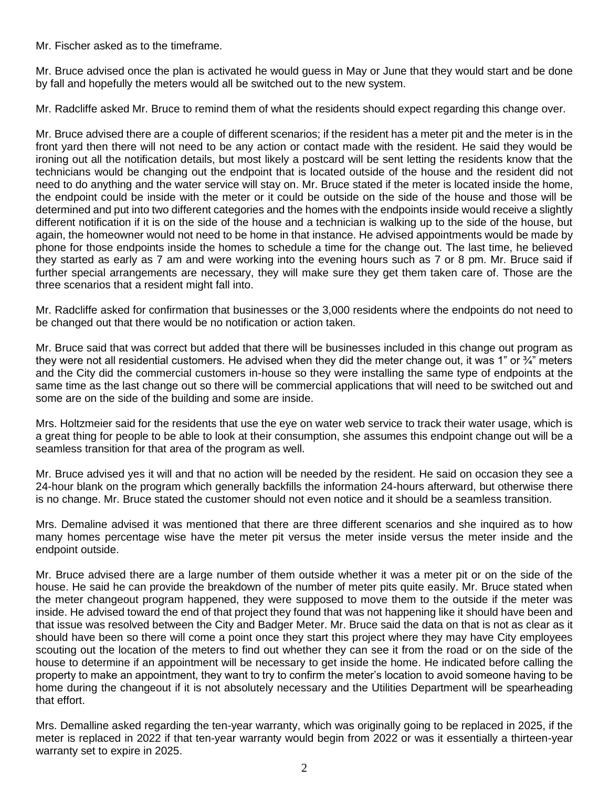Mr. Fischer asked as to the timeframe.

Mr. Bruce advised once the plan is activated he would guess in May or June that they would start and be done by fall and hopefully the meters would all be switched out to the new system.

Mr. Radcliffe asked Mr. Bruce to remind them of what the residents should expect regarding this change over.

Mr. Bruce advised there are a couple of different scenarios; if the resident has a meter pit and the meter is in the front yard then there will not need to be any action or contact made with the resident. He said they would be ironing out all the notification details, but most likely a postcard will be sent letting the residents know that the technicians would be changing out the endpoint that is located outside of the house and the resident did not need to do anything and the water service will stay on. Mr. Bruce stated if the meter is located inside the home, the endpoint could be inside with the meter or it could be outside on the side of the house and those will be determined and put into two different categories and the homes with the endpoints inside would receive a slightly different notification if it is on the side of the house and a technician is walking up to the side of the house, but again, the homeowner would not need to be home in that instance. He advised appointments would be made by phone for those endpoints inside the homes to schedule a time for the change out. The last time, he believed they started as early as 7 am and were working into the evening hours such as 7 or 8 pm. Mr. Bruce said if further special arrangements are necessary, they will make sure they get them taken care of. Those are the three scenarios that a resident might fall into.

Mr. Radcliffe asked for confirmation that businesses or the 3,000 residents where the endpoints do not need to be changed out that there would be no notification or action taken.

Mr. Bruce said that was correct but added that there will be businesses included in this change out program as they were not all residential customers. He advised when they did the meter change out, it was 1" or ¾" meters and the City did the commercial customers in-house so they were installing the same type of endpoints at the same time as the last change out so there will be commercial applications that will need to be switched out and some are on the side of the building and some are inside.

Mrs. Holtzmeier said for the residents that use the eye on water web service to track their water usage, which is a great thing for people to be able to look at their consumption, she assumes this endpoint change out will be a seamless transition for that area of the program as well.

Mr. Bruce advised yes it will and that no action will be needed by the resident. He said on occasion they see a 24-hour blank on the program which generally backfills the information 24-hours afterward, but otherwise there is no change. Mr. Bruce stated the customer should not even notice and it should be a seamless transition.

Mrs. Demaline advised it was mentioned that there are three different scenarios and she inquired as to how many homes percentage wise have the meter pit versus the meter inside versus the meter inside and the endpoint outside.

Mr. Bruce advised there are a large number of them outside whether it was a meter pit or on the side of the house. He said he can provide the breakdown of the number of meter pits quite easily. Mr. Bruce stated when the meter changeout program happened, they were supposed to move them to the outside if the meter was inside. He advised toward the end of that project they found that was not happening like it should have been and that issue was resolved between the City and Badger Meter. Mr. Bruce said the data on that is not as clear as it should have been so there will come a point once they start this project where they may have City employees scouting out the location of the meters to find out whether they can see it from the road or on the side of the house to determine if an appointment will be necessary to get inside the home. He indicated before calling the property to make an appointment, they want to try to confirm the meter's location to avoid someone having to be home during the changeout if it is not absolutely necessary and the Utilities Department will be spearheading that effort.

Mrs. Demalline asked regarding the ten-year warranty, which was originally going to be replaced in 2025, if the meter is replaced in 2022 if that ten-year warranty would begin from 2022 or was it essentially a thirteen-year warranty set to expire in 2025.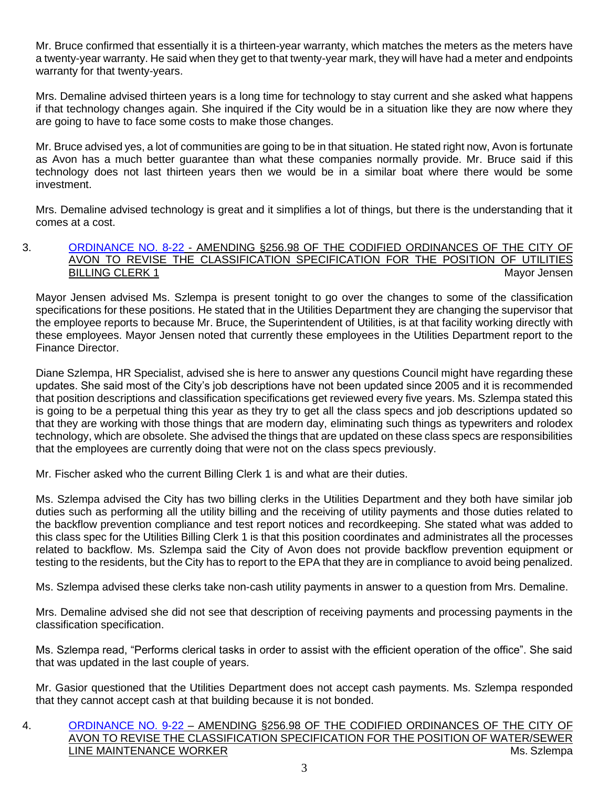Mr. Bruce confirmed that essentially it is a thirteen-year warranty, which matches the meters as the meters have a twenty-year warranty. He said when they get to that twenty-year mark, they will have had a meter and endpoints warranty for that twenty-years.

Mrs. Demaline advised thirteen years is a long time for technology to stay current and she asked what happens if that technology changes again. She inquired if the City would be in a situation like they are now where they are going to have to face some costs to make those changes.

Mr. Bruce advised yes, a lot of communities are going to be in that situation. He stated right now, Avon is fortunate as Avon has a much better guarantee than what these companies normally provide. Mr. Bruce said if this technology does not last thirteen years then we would be in a similar boat where there would be some investment.

Mrs. Demaline advised technology is great and it simplifies a lot of things, but there is the understanding that it comes at a cost.

### 3. [ORDINANCE NO. 8-22](https://www.cityofavon.com/DocumentCenter/View/7559/Ordinance-No-8-22-Amend-Class-Spec-Utility-Billing-Clerk-1) - AMENDING §256.98 OF THE CODIFIED ORDINANCES OF THE CITY OF AVON TO REVISE THE CLASSIFICATION SPECIFICATION FOR THE POSITION OF UTILITIES BILLING CLERK 1 Mayor Jensen Mayor Jensen Mayor Jensen Mayor Jensen Mayor Jensen Mayor Jensen Mayor Jensen Mayor Jensen Mayor Jensen Mayor Jensen Mayor Jensen Mayor Jensen Mayor Jensen Mayor Jensen Mayor Jensen Mayor Jense

Mayor Jensen advised Ms. Szlempa is present tonight to go over the changes to some of the classification specifications for these positions. He stated that in the Utilities Department they are changing the supervisor that the employee reports to because Mr. Bruce, the Superintendent of Utilities, is at that facility working directly with these employees. Mayor Jensen noted that currently these employees in the Utilities Department report to the Finance Director.

Diane Szlempa, HR Specialist, advised she is here to answer any questions Council might have regarding these updates. She said most of the City's job descriptions have not been updated since 2005 and it is recommended that position descriptions and classification specifications get reviewed every five years. Ms. Szlempa stated this is going to be a perpetual thing this year as they try to get all the class specs and job descriptions updated so that they are working with those things that are modern day, eliminating such things as typewriters and rolodex technology, which are obsolete. She advised the things that are updated on these class specs are responsibilities that the employees are currently doing that were not on the class specs previously.

Mr. Fischer asked who the current Billing Clerk 1 is and what are their duties.

Ms. Szlempa advised the City has two billing clerks in the Utilities Department and they both have similar job duties such as performing all the utility billing and the receiving of utility payments and those duties related to the backflow prevention compliance and test report notices and recordkeeping. She stated what was added to this class spec for the Utilities Billing Clerk 1 is that this position coordinates and administrates all the processes related to backflow. Ms. Szlempa said the City of Avon does not provide backflow prevention equipment or testing to the residents, but the City has to report to the EPA that they are in compliance to avoid being penalized.

Ms. Szlempa advised these clerks take non-cash utility payments in answer to a question from Mrs. Demaline.

Mrs. Demaline advised she did not see that description of receiving payments and processing payments in the classification specification.

Ms. Szlempa read, "Performs clerical tasks in order to assist with the efficient operation of the office". She said that was updated in the last couple of years.

Mr. Gasior questioned that the Utilities Department does not accept cash payments. Ms. Szlempa responded that they cannot accept cash at that building because it is not bonded.

## 4. [ORDINANCE NO. 9-22](https://www.cityofavon.com/DocumentCenter/View/7560/Ordinance-No-9-22-Amend-Class-Spec-Water-Sewer-Main-Worker) – AMENDING §256.98 OF THE CODIFIED ORDINANCES OF THE CITY OF AVON TO REVISE THE CLASSIFICATION SPECIFICATION FOR THE POSITION OF WATER/SEWER LINE MAINTENANCE WORKER MEDICINE SERVICE OF THE MS. Szlempa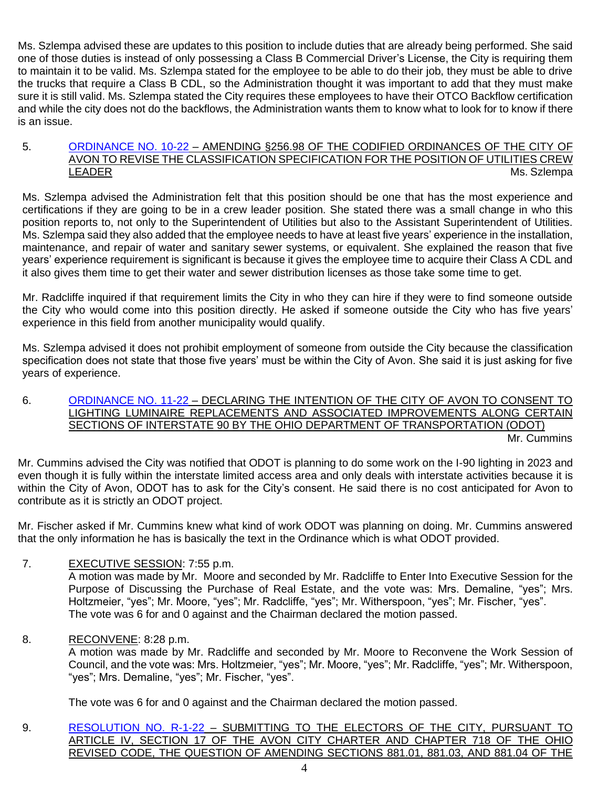Ms. Szlempa advised these are updates to this position to include duties that are already being performed. She said one of those duties is instead of only possessing a Class B Commercial Driver's License, the City is requiring them to maintain it to be valid. Ms. Szlempa stated for the employee to be able to do their job, they must be able to drive the trucks that require a Class B CDL, so the Administration thought it was important to add that they must make sure it is still valid. Ms. Szlempa stated the City requires these employees to have their OTCO Backflow certification and while the city does not do the backflows, the Administration wants them to know what to look for to know if there is an issue.

## 5. [ORDINANCE NO. 10-22](https://www.cityofavon.com/DocumentCenter/View/7561/Ordinance-No-10-22-Amend-Class-Spec-Utilities-Crew-Leader) – AMENDING §256.98 OF THE CODIFIED ORDINANCES OF THE CITY OF AVON TO REVISE THE CLASSIFICATION SPECIFICATION FOR THE POSITION OF UTILITIES CREW LEADER Ms. Szlempa

Ms. Szlempa advised the Administration felt that this position should be one that has the most experience and certifications if they are going to be in a crew leader position. She stated there was a small change in who this position reports to, not only to the Superintendent of Utilities but also to the Assistant Superintendent of Utilities. Ms. Szlempa said they also added that the employee needs to have at least five years' experience in the installation, maintenance, and repair of water and sanitary sewer systems, or equivalent. She explained the reason that five years' experience requirement is significant is because it gives the employee time to acquire their Class A CDL and it also gives them time to get their water and sewer distribution licenses as those take some time to get.

Mr. Radcliffe inquired if that requirement limits the City in who they can hire if they were to find someone outside the City who would come into this position directly. He asked if someone outside the City who has five years' experience in this field from another municipality would qualify.

Ms. Szlempa advised it does not prohibit employment of someone from outside the City because the classification specification does not state that those five years' must be within the City of Avon. She said it is just asking for five years of experience.

#### 6. [ORDINANCE NO. 11-22](https://www.cityofavon.com/DocumentCenter/View/7562/Ordinance-No-11-22-ODOT-I90-Lighting-Imp-Consent-Leg) – DECLARING THE INTENTION OF THE CITY OF AVON TO CONSENT TO LIGHTING LUMINAIRE REPLACEMENTS AND ASSOCIATED IMPROVEMENTS ALONG CERTAIN SECTIONS OF INTERSTATE 90 BY THE OHIO DEPARTMENT OF TRANSPORTATION (ODOT) Mr. Cummins

Mr. Cummins advised the City was notified that ODOT is planning to do some work on the I-90 lighting in 2023 and even though it is fully within the interstate limited access area and only deals with interstate activities because it is within the City of Avon, ODOT has to ask for the City's consent. He said there is no cost anticipated for Avon to contribute as it is strictly an ODOT project.

Mr. Fischer asked if Mr. Cummins knew what kind of work ODOT was planning on doing. Mr. Cummins answered that the only information he has is basically the text in the Ordinance which is what ODOT provided.

# 7. EXECUTIVE SESSION: 7:55 p.m.

A motion was made by Mr. Moore and seconded by Mr. Radcliffe to Enter Into Executive Session for the Purpose of Discussing the Purchase of Real Estate, and the vote was: Mrs. Demaline, "yes"; Mrs. Holtzmeier, "yes"; Mr. Moore, "yes"; Mr. Radcliffe, "yes"; Mr. Witherspoon, "yes"; Mr. Fischer, "yes". The vote was 6 for and 0 against and the Chairman declared the motion passed.

8. RECONVENE: 8:28 p.m.

A motion was made by Mr. Radcliffe and seconded by Mr. Moore to Reconvene the Work Session of Council, and the vote was: Mrs. Holtzmeier, "yes"; Mr. Moore, "yes"; Mr. Radcliffe, "yes"; Mr. Witherspoon, "yes"; Mrs. Demaline, "yes"; Mr. Fischer, "yes".

The vote was 6 for and 0 against and the Chairman declared the motion passed.

9. [RESOLUTION NO. R-1-22](https://www.cityofavon.com/DocumentCenter/View/7514/Resolution-No-R-1-22-Income-Tax-Levy-Dec-30-2021) – SUBMITTING TO THE ELECTORS OF THE CITY, PURSUANT TO ARTICLE IV, SECTION 17 OF THE AVON CITY CHARTER AND CHAPTER 718 OF THE OHIO REVISED CODE, THE QUESTION OF AMENDING SECTIONS 881.01, 881.03, AND 881.04 OF THE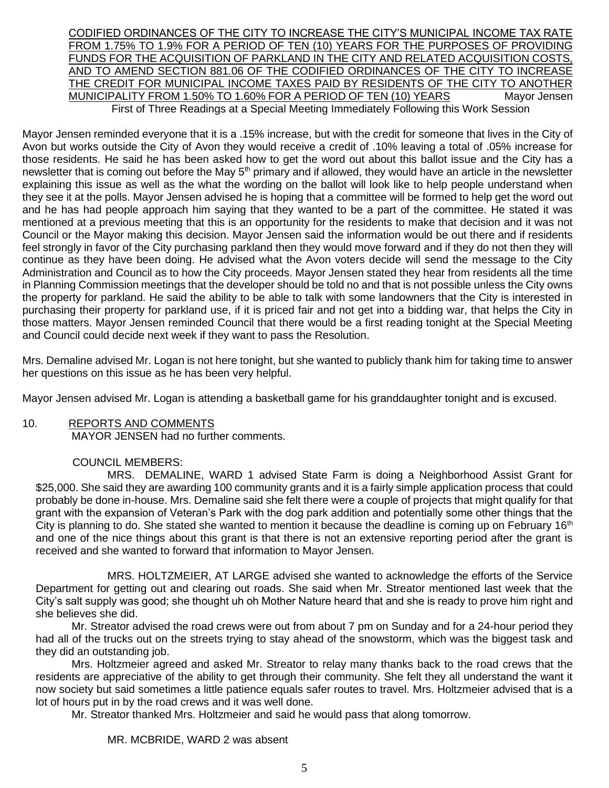CODIFIED ORDINANCES OF THE CITY TO INCREASE THE CITY'S MUNICIPAL INCOME TAX RATE FROM 1.75% TO 1.9% FOR A PERIOD OF TEN (10) YEARS FOR THE PURPOSES OF PROVIDING FUNDS FOR THE ACQUISITION OF PARKLAND IN THE CITY AND RELATED ACQUISITION COSTS, AND TO AMEND SECTION 881.06 OF THE CODIFIED ORDINANCES OF THE CITY TO INCREASE THE CREDIT FOR MUNICIPAL INCOME TAXES PAID BY RESIDENTS OF THE CITY TO ANOTHER MUNICIPALITY FROM 1.50% TO 1.60% FOR A PERIOD OF TEN (10) YEARS Mayor Jensen First of Three Readings at a Special Meeting Immediately Following this Work Session

Mayor Jensen reminded everyone that it is a .15% increase, but with the credit for someone that lives in the City of Avon but works outside the City of Avon they would receive a credit of .10% leaving a total of .05% increase for those residents. He said he has been asked how to get the word out about this ballot issue and the City has a newsletter that is coming out before the May  $5<sup>th</sup>$  primary and if allowed, they would have an article in the newsletter explaining this issue as well as the what the wording on the ballot will look like to help people understand when they see it at the polls. Mayor Jensen advised he is hoping that a committee will be formed to help get the word out and he has had people approach him saying that they wanted to be a part of the committee. He stated it was mentioned at a previous meeting that this is an opportunity for the residents to make that decision and it was not Council or the Mayor making this decision. Mayor Jensen said the information would be out there and if residents feel strongly in favor of the City purchasing parkland then they would move forward and if they do not then they will continue as they have been doing. He advised what the Avon voters decide will send the message to the City Administration and Council as to how the City proceeds. Mayor Jensen stated they hear from residents all the time in Planning Commission meetings that the developer should be told no and that is not possible unless the City owns the property for parkland. He said the ability to be able to talk with some landowners that the City is interested in purchasing their property for parkland use, if it is priced fair and not get into a bidding war, that helps the City in those matters. Mayor Jensen reminded Council that there would be a first reading tonight at the Special Meeting and Council could decide next week if they want to pass the Resolution.

Mrs. Demaline advised Mr. Logan is not here tonight, but she wanted to publicly thank him for taking time to answer her questions on this issue as he has been very helpful.

Mayor Jensen advised Mr. Logan is attending a basketball game for his granddaughter tonight and is excused.

## 10. REPORTS AND COMMENTS

MAYOR JENSEN had no further comments.

## COUNCIL MEMBERS:

MRS. DEMALINE, WARD 1 advised State Farm is doing a Neighborhood Assist Grant for \$25,000. She said they are awarding 100 community grants and it is a fairly simple application process that could probably be done in-house. Mrs. Demaline said she felt there were a couple of projects that might qualify for that grant with the expansion of Veteran's Park with the dog park addition and potentially some other things that the City is planning to do. She stated she wanted to mention it because the deadline is coming up on February 16<sup>th</sup> and one of the nice things about this grant is that there is not an extensive reporting period after the grant is received and she wanted to forward that information to Mayor Jensen.

MRS. HOLTZMEIER, AT LARGE advised she wanted to acknowledge the efforts of the Service Department for getting out and clearing out roads. She said when Mr. Streator mentioned last week that the City's salt supply was good; she thought uh oh Mother Nature heard that and she is ready to prove him right and she believes she did.

Mr. Streator advised the road crews were out from about 7 pm on Sunday and for a 24-hour period they had all of the trucks out on the streets trying to stay ahead of the snowstorm, which was the biggest task and they did an outstanding job.

Mrs. Holtzmeier agreed and asked Mr. Streator to relay many thanks back to the road crews that the residents are appreciative of the ability to get through their community. She felt they all understand the want it now society but said sometimes a little patience equals safer routes to travel. Mrs. Holtzmeier advised that is a lot of hours put in by the road crews and it was well done.

Mr. Streator thanked Mrs. Holtzmeier and said he would pass that along tomorrow.

#### MR. MCBRIDE, WARD 2 was absent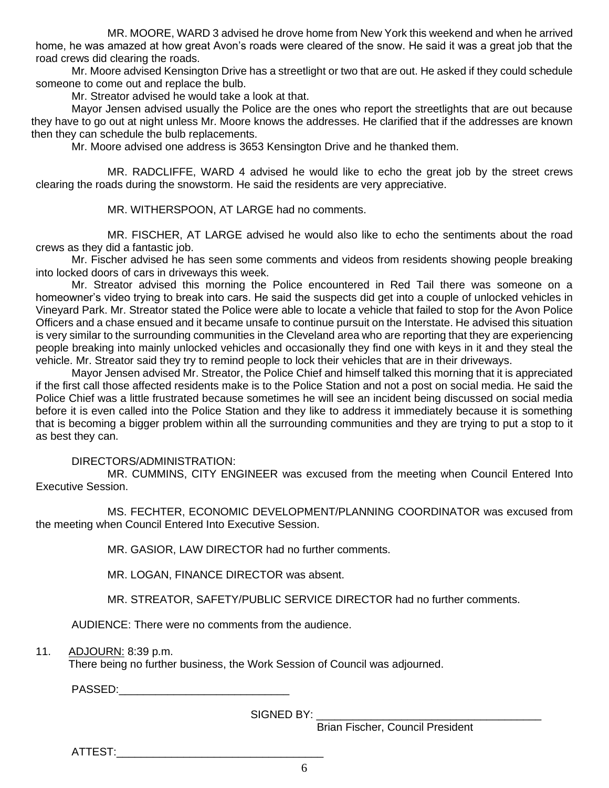MR. MOORE, WARD 3 advised he drove home from New York this weekend and when he arrived home, he was amazed at how great Avon's roads were cleared of the snow. He said it was a great job that the road crews did clearing the roads.

Mr. Moore advised Kensington Drive has a streetlight or two that are out. He asked if they could schedule someone to come out and replace the bulb.

Mr. Streator advised he would take a look at that.

Mayor Jensen advised usually the Police are the ones who report the streetlights that are out because they have to go out at night unless Mr. Moore knows the addresses. He clarified that if the addresses are known then they can schedule the bulb replacements.

Mr. Moore advised one address is 3653 Kensington Drive and he thanked them.

MR. RADCLIFFE, WARD 4 advised he would like to echo the great job by the street crews clearing the roads during the snowstorm. He said the residents are very appreciative.

MR. WITHERSPOON, AT LARGE had no comments.

MR. FISCHER, AT LARGE advised he would also like to echo the sentiments about the road crews as they did a fantastic job.

Mr. Fischer advised he has seen some comments and videos from residents showing people breaking into locked doors of cars in driveways this week.

Mr. Streator advised this morning the Police encountered in Red Tail there was someone on a homeowner's video trying to break into cars. He said the suspects did get into a couple of unlocked vehicles in Vineyard Park. Mr. Streator stated the Police were able to locate a vehicle that failed to stop for the Avon Police Officers and a chase ensued and it became unsafe to continue pursuit on the Interstate. He advised this situation is very similar to the surrounding communities in the Cleveland area who are reporting that they are experiencing people breaking into mainly unlocked vehicles and occasionally they find one with keys in it and they steal the vehicle. Mr. Streator said they try to remind people to lock their vehicles that are in their driveways.

Mayor Jensen advised Mr. Streator, the Police Chief and himself talked this morning that it is appreciated if the first call those affected residents make is to the Police Station and not a post on social media. He said the Police Chief was a little frustrated because sometimes he will see an incident being discussed on social media before it is even called into the Police Station and they like to address it immediately because it is something that is becoming a bigger problem within all the surrounding communities and they are trying to put a stop to it as best they can.

#### DIRECTORS/ADMINISTRATION:

MR. CUMMINS, CITY ENGINEER was excused from the meeting when Council Entered Into Executive Session.

MS. FECHTER, ECONOMIC DEVELOPMENT/PLANNING COORDINATOR was excused from the meeting when Council Entered Into Executive Session.

MR. GASIOR, LAW DIRECTOR had no further comments.

MR. LOGAN, FINANCE DIRECTOR was absent.

MR. STREATOR, SAFETY/PUBLIC SERVICE DIRECTOR had no further comments.

AUDIENCE: There were no comments from the audience.

11. ADJOURN: 8:39 p.m.

There being no further business, the Work Session of Council was adjourned.

PASSED:\_\_\_\_\_\_\_\_\_\_\_\_\_\_\_\_\_\_\_\_\_\_\_\_\_\_\_\_

SIGNED BY:

Brian Fischer, Council President

ATTEST:\_\_\_\_\_\_\_\_\_\_\_\_\_\_\_\_\_\_\_\_\_\_\_\_\_\_\_\_\_\_\_\_\_\_